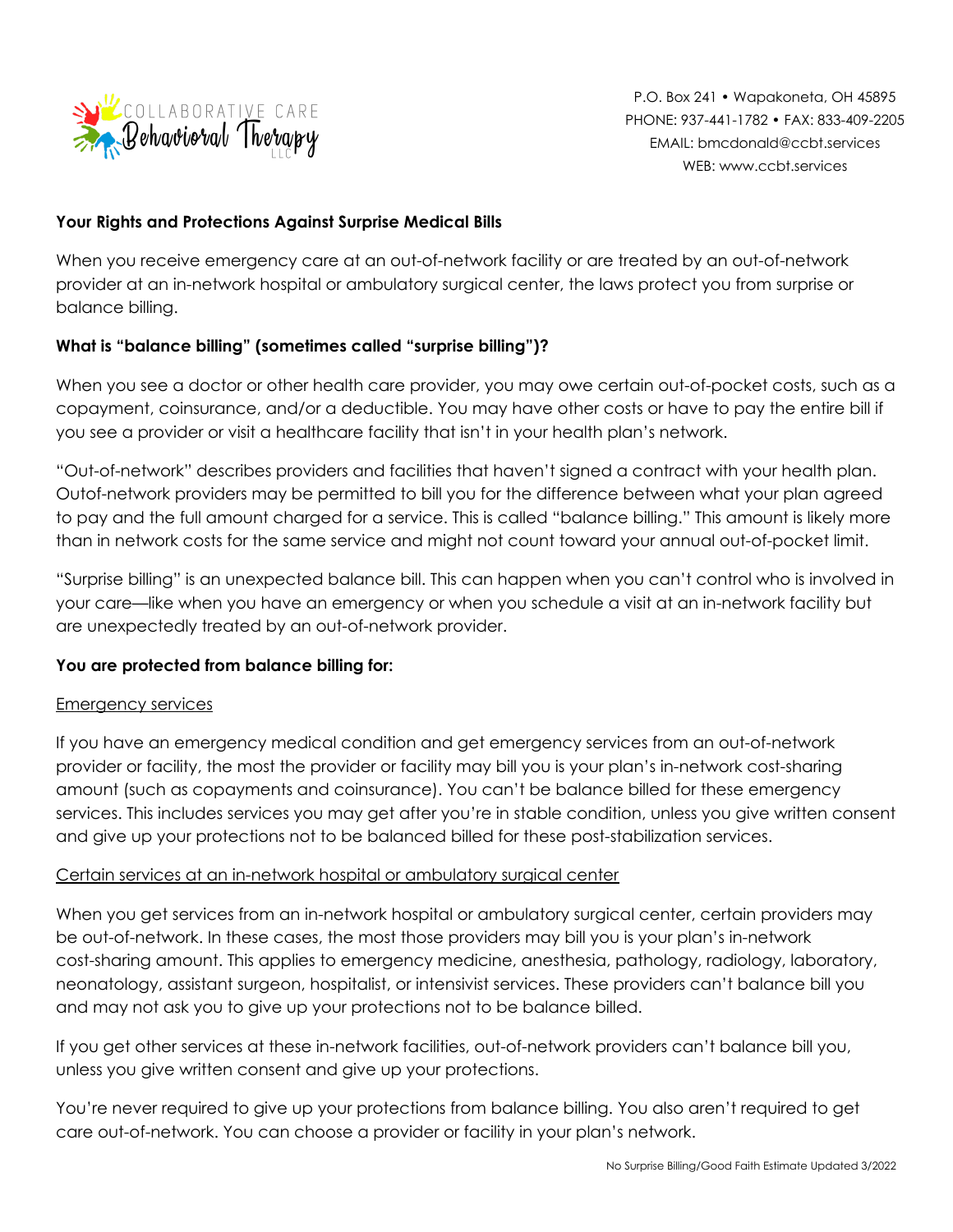

## **Your Rights and Protections Against Surprise Medical Bills**

When you receive emergency care at an out-of-network facility or are treated by an out-of-network provider at an in-network hospital or ambulatory surgical center, the laws protect you from surprise or balance billing.

# **What is "balance billing" (sometimes called "surprise billing")?**

When you see a doctor or other health care provider, you may owe certain out-of-pocket costs, such as a copayment, coinsurance, and/or a deductible. You may have other costs or have to pay the entire bill if you see a provider or visit a healthcare facility that isn't in your health plan's network.

"Out-of-network" describes providers and facilities that haven't signed a contract with your health plan. Outof-network providers may be permitted to bill you for the difference between what your plan agreed to pay and the full amount charged for a service. This is called "balance billing." This amount is likely more than in network costs for the same service and might not count toward your annual out-of-pocket limit.

"Surprise billing" is an unexpected balance bill. This can happen when you can't control who is involved in your care—like when you have an emergency or when you schedule a visit at an in-network facility but are unexpectedly treated by an out-of-network provider.

### **You are protected from balance billing for:**

#### Emergency services

If you have an emergency medical condition and get emergency services from an out-of-network provider or facility, the most the provider or facility may bill you is your plan's in-network cost-sharing amount (such as copayments and coinsurance). You can't be balance billed for these emergency services. This includes services you may get after you're in stable condition, unless you give written consent and give up your protections not to be balanced billed for these post-stabilization services.

### Certain services at an in-network hospital or ambulatory surgical center

When you get services from an in-network hospital or ambulatory surgical center, certain providers may be out-of-network. In these cases, the most those providers may bill you is your plan's in-network cost-sharing amount. This applies to emergency medicine, anesthesia, pathology, radiology, laboratory, neonatology, assistant surgeon, hospitalist, or intensivist services. These providers can't balance bill you and may not ask you to give up your protections not to be balance billed.

If you get other services at these in-network facilities, out-of-network providers can't balance bill you, unless you give written consent and give up your protections.

You're never required to give up your protections from balance billing. You also aren't required to get care out-of-network. You can choose a provider or facility in your plan's network.